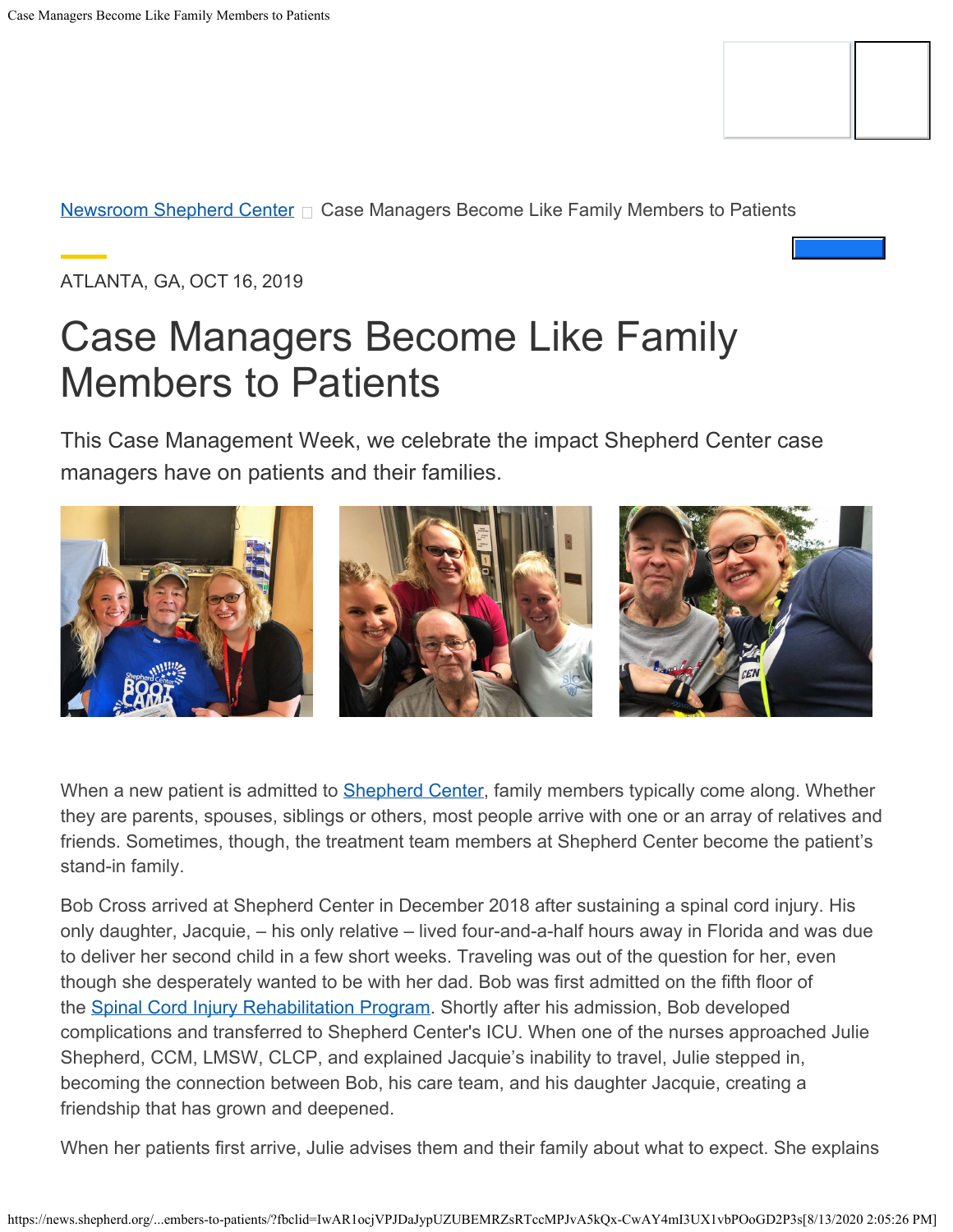[Newsroom Shepherd Center](https://news.shepherd.org/en-us/)  $\Box$  Case Managers Become Like Family Members to Patients

ATLANTA, GA, OCT 16, 2019

# Case Managers Become Like Family Members to Patients

This Case Management Week, we celebrate the impact Shepherd Center case managers have on patients and their families.



When a new patient is admitted to **Shepherd Center**, family members typically come along. Whether they are parents, spouses, siblings or others, most people arrive with one or an array of relatives and friends. Sometimes, though, the treatment team members at Shepherd Center become the patient's stand-in family.

Bob Cross arrived at Shepherd Center in December 2018 after sustaining a spinal cord injury. His only daughter, Jacquie, – his only relative – lived four-and-a-half hours away in Florida and was due to deliver her second child in a few short weeks. Traveling was out of the question for her, even though she desperately wanted to be with her dad. Bob was first admitted on the fifth floor of the [Spinal Cord Injury Rehabilitation Program](http://shepherd.org/SCI). Shortly after his admission, Bob developed complications and transferred to Shepherd Center's ICU. When one of the nurses approached Julie Shepherd, CCM, LMSW, CLCP, and explained Jacquie's inability to travel, Julie stepped in, becoming the connection between Bob, his care team, and his daughter Jacquie, creating a friendship that has grown and deepened.

When her patients first arrive, Julie advises them and their family about what to expect. She explains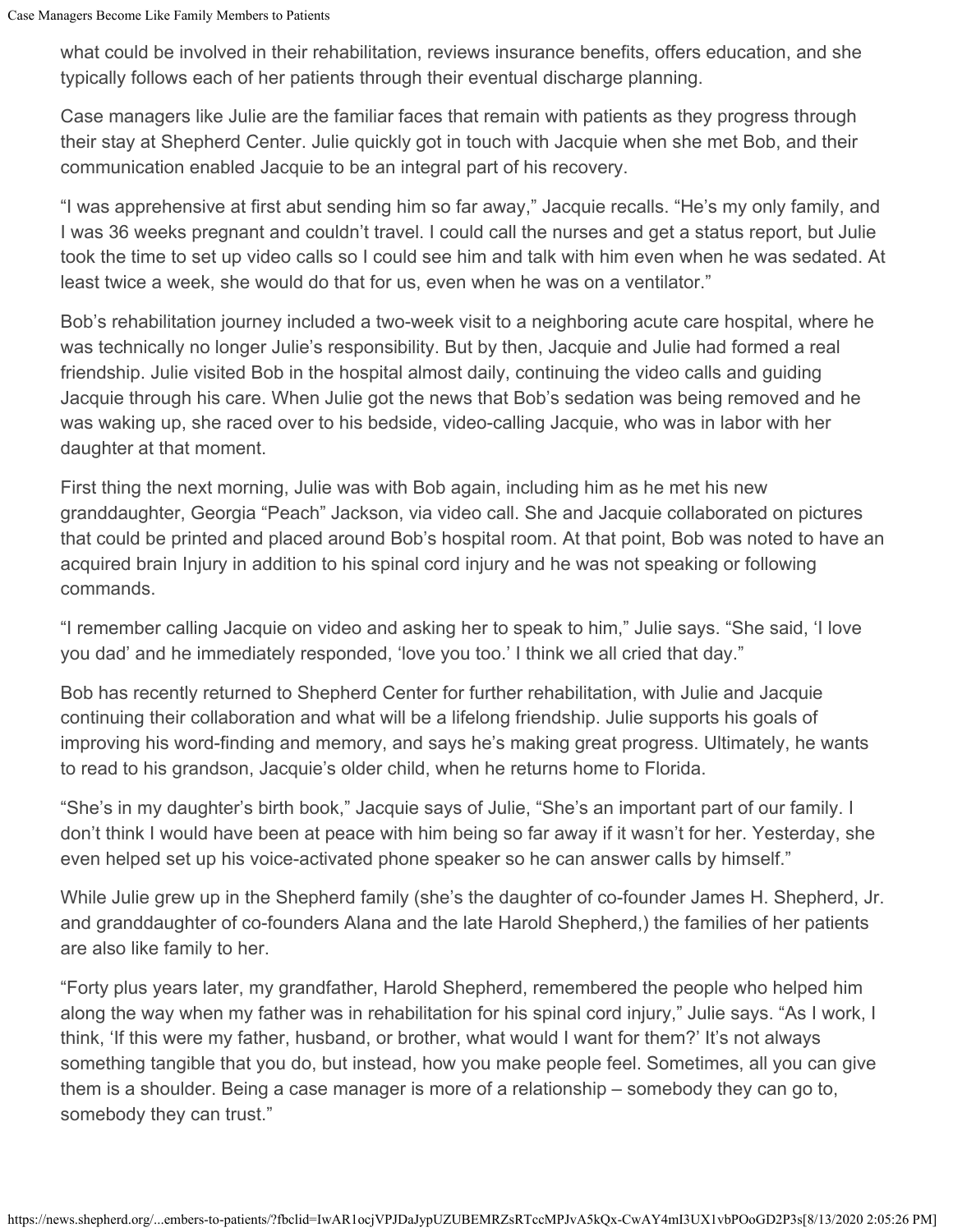what could be involved in their rehabilitation, reviews insurance benefits, offers education, and she typically follows each of her patients through their eventual discharge planning.

Case managers like Julie are the familiar faces that remain with patients as they progress through their stay at Shepherd Center. Julie quickly got in touch with Jacquie when she met Bob, and their communication enabled Jacquie to be an integral part of his recovery.

"I was apprehensive at first abut sending him so far away," Jacquie recalls. "He's my only family, and I was 36 weeks pregnant and couldn't travel. I could call the nurses and get a status report, but Julie took the time to set up video calls so I could see him and talk with him even when he was sedated. At least twice a week, she would do that for us, even when he was on a ventilator."

Bob's rehabilitation journey included a two-week visit to a neighboring acute care hospital, where he was technically no longer Julie's responsibility. But by then, Jacquie and Julie had formed a real friendship. Julie visited Bob in the hospital almost daily, continuing the video calls and guiding Jacquie through his care. When Julie got the news that Bob's sedation was being removed and he was waking up, she raced over to his bedside, video-calling Jacquie, who was in labor with her daughter at that moment.

First thing the next morning, Julie was with Bob again, including him as he met his new granddaughter, Georgia "Peach" Jackson, via video call. She and Jacquie collaborated on pictures that could be printed and placed around Bob's hospital room. At that point, Bob was noted to have an acquired brain Injury in addition to his spinal cord injury and he was not speaking or following commands.

"I remember calling Jacquie on video and asking her to speak to him," Julie says. "She said, 'I love you dad' and he immediately responded, 'love you too.' I think we all cried that day."

Bob has recently returned to Shepherd Center for further rehabilitation, with Julie and Jacquie continuing their collaboration and what will be a lifelong friendship. Julie supports his goals of improving his word-finding and memory, and says he's making great progress. Ultimately, he wants to read to his grandson, Jacquie's older child, when he returns home to Florida.

"She's in my daughter's birth book," Jacquie says of Julie, "She's an important part of our family. I don't think I would have been at peace with him being so far away if it wasn't for her. Yesterday, she even helped set up his voice-activated phone speaker so he can answer calls by himself."

While Julie grew up in the Shepherd family (she's the daughter of co-founder James H. Shepherd, Jr. and granddaughter of co-founders Alana and the late Harold Shepherd,) the families of her patients are also like family to her.

"Forty plus years later, my grandfather, Harold Shepherd, remembered the people who helped him along the way when my father was in rehabilitation for his spinal cord injury," Julie says. "As I work, I think, 'If this were my father, husband, or brother, what would I want for them?' It's not always something tangible that you do, but instead, how you make people feel. Sometimes, all you can give them is a shoulder. Being a case manager is more of a relationship – somebody they can go to, somebody they can trust."